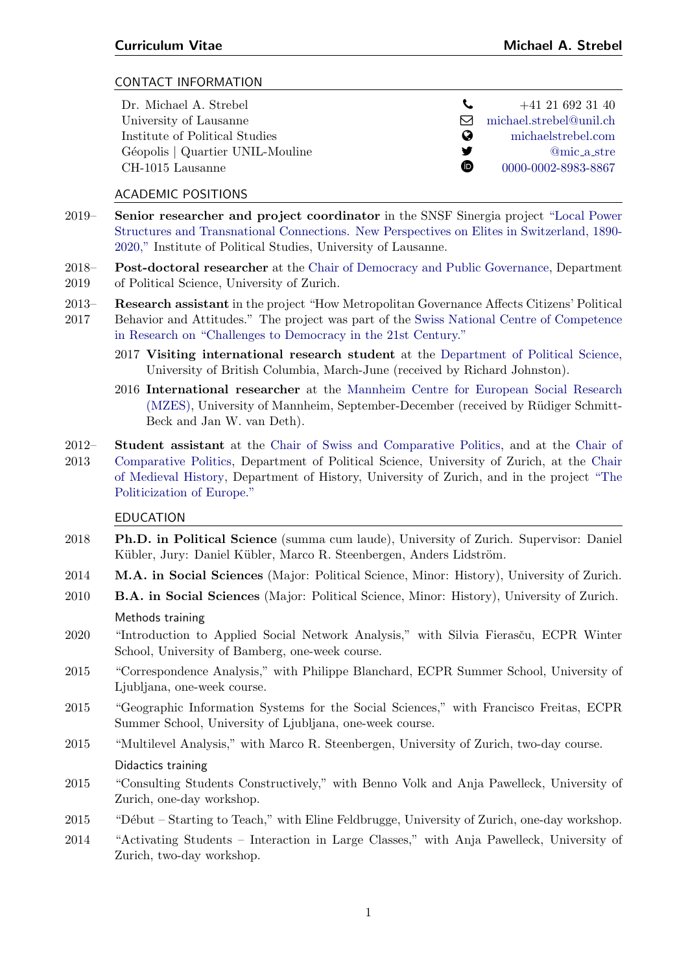# CONTACT INFORMATION

| Dr. Michael A. Strebel           |          | $+41$ 21 692 31 40      |
|----------------------------------|----------|-------------------------|
| University of Lausanne           |          | michael.strebel@unil.ch |
| Institute of Political Studies   | $\omega$ | michaelstrebel.com      |
| Géopolis   Quartier UNIL-Mouline | ₩        | @mic_a_stre             |
| CH-1015 Lausanne                 | ⊕        | 0000-0002-8983-8867     |
|                                  |          |                         |

#### ACADEMIC POSITIONS

- 2019– Senior researcher and project coordinator in the SNSF Sinergia project ["Local Power](https://wp.unil.ch/sinergia-elites/) [Structures and Transnational Connections. New Perspectives on Elites in Switzerland, 1890-](https://wp.unil.ch/sinergia-elites/) [2020,"](https://wp.unil.ch/sinergia-elites/) Institute of Political Studies, University of Lausanne.
- 2018– Post-doctoral researcher at the [Chair of Democracy and Public Governance,](http://www.ipz.uzh.ch/en/forschung/lehrstuehle/df.html) Department
- 2019 of Political Science, University of Zurich.
- 2013– Research assistant in the project "How Metropolitan Governance Affects Citizens' Political
- 2017 Behavior and Attitudes." The project was part of the [Swiss National Centre of Competence](https://www.snf.ch/en/4wAoGp9fVStRNqlm/page/researchinFocus/nccr/nccr-democracy) [in Research on "Challenges to Democracy in the 21st Century."](https://www.snf.ch/en/4wAoGp9fVStRNqlm/page/researchinFocus/nccr/nccr-democracy)
	- 2017 Visiting international research student at the [Department of Political Science,](https://politics.ubc.ca/) University of British Columbia, March-June (received by Richard Johnston).
	- 2016 International researcher at the [Mannheim Centre for European Social Research](https://www.mzes.uni-mannheim.de/d7/en) [\(MZES\),](https://www.mzes.uni-mannheim.de/d7/en) University of Mannheim, September-December (received by Rüdiger Schmitt-Beck and Jan W. van Deth).
- 2012– Student assistant at the [Chair of Swiss and Comparative Politics,](http://www.ipz.uzh.ch/en/forschung/lehrstuehle/sp.html) and at the [Chair of](http://www.ipz.uzh.ch/en/forschung/lehrstuehle/vergleichende-politik.html)
- 2013 [Comparative Politics,](http://www.ipz.uzh.ch/en/forschung/lehrstuehle/vergleichende-politik.html) Department of Political Science, University of Zurich, at the [Chair](https://www.hist.uzh.ch/en/fachbereiche/mittelalter/lehrstuehle/teuscher.html) [of Medieval History,](https://www.hist.uzh.ch/en/fachbereiche/mittelalter/lehrstuehle/teuscher.html) Department of History, University of Zurich, and in the project ["The](http://www.cambridge.org/mp/academic/subjects/politics-international-relations/european-government-politics-and-policy/politicising-europe-integration-and-mass-politics?format=PB) [Politicization of Europe."](http://www.cambridge.org/mp/academic/subjects/politics-international-relations/european-government-politics-and-policy/politicising-europe-integration-and-mass-politics?format=PB)

#### EDUCATION

- 2018 Ph.D. in Political Science (summa cum laude), University of Zurich. Supervisor: Daniel Kübler, Jury: Daniel Kübler, Marco R. Steenbergen, Anders Lidström.
- 2014 M.A. in Social Sciences (Major: Political Science, Minor: History), University of Zurich.
- 2010 B.A. in Social Sciences (Major: Political Science, Minor: History), University of Zurich. Methods training
- 2020 "Introduction to Applied Social Network Analysis," with Silvia Fierasču, ECPR Winter School, University of Bamberg, one-week course.
- 2015 "Correspondence Analysis," with Philippe Blanchard, ECPR Summer School, University of Ljubljana, one-week course.
- 2015 "Geographic Information Systems for the Social Sciences," with Francisco Freitas, ECPR Summer School, University of Ljubljana, one-week course.
- 2015 "Multilevel Analysis," with Marco R. Steenbergen, University of Zurich, two-day course.

#### Didactics training

- 2015 "Consulting Students Constructively," with Benno Volk and Anja Pawelleck, University of Zurich, one-day workshop.
- 2015 "D´ebut Starting to Teach," with Eline Feldbrugge, University of Zurich, one-day workshop.
- 2014 "Activating Students Interaction in Large Classes," with Anja Pawelleck, University of Zurich, two-day workshop.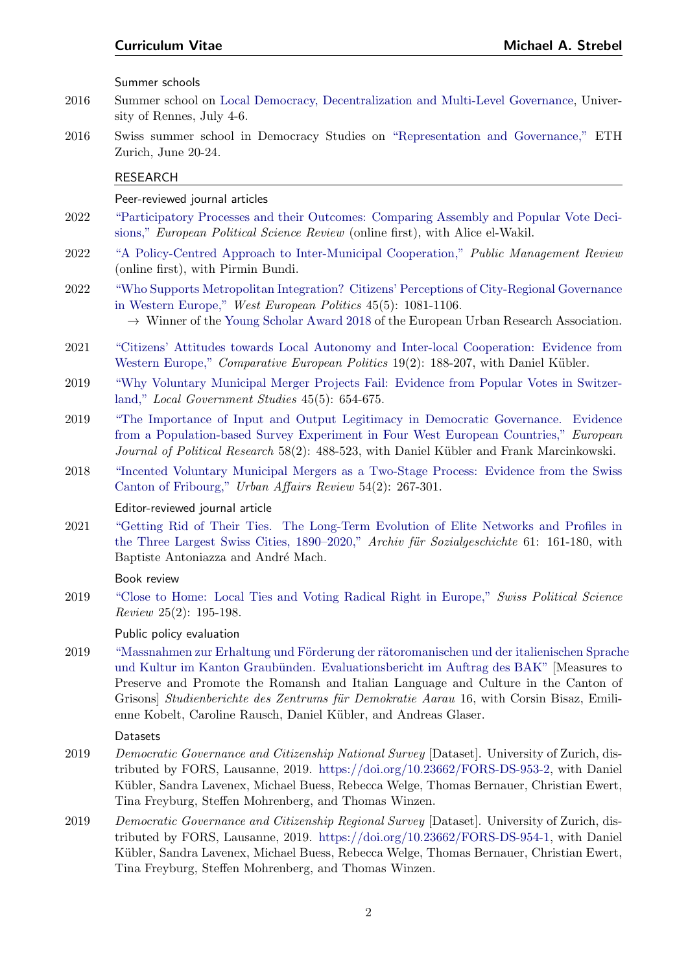Summer schools

- 2016 Summer school on [Local Democracy, Decentralization and Multi-Level Governance,](https://www.sciencespo-rennes.fr/files/sciencepo/media/Recherche/%C3%89cole%20d%C3%A9t%C3%A9-pr%C3%A9sentation.pdf) University of Rennes, July 4-6.
- 2016 Swiss summer school in Democracy Studies on ["Representation and Governance,"](https://www.ipz.uzh.ch/en/studium/phd/democracy-studies/summer-school/past-summer-schools/2016-zurich.html) ETH Zurich, June 20-24.

#### RESEARCH

Peer-reviewed journal articles

- 2022 ["Participatory Processes and their Outcomes: Comparing Assembly and Popular Vote Deci](https://doi.org/10.1017/S1755773922000157)[sions,"](https://doi.org/10.1017/S1755773922000157) European Political Science Review (online first), with Alice el-Wakil.
- 2022 ["A Policy-Centred Approach to Inter-Municipal Cooperation,"](https://www.tandfonline.com/doi/full/10.1080/14719037.2022.2051065) Public Management Review (online first), with Pirmin Bundi.
- 2022 ["Who Supports Metropolitan Integration? Citizens' Perceptions of City-Regional Governance](https://doi.org/10.1080/01402382.2021.1929688) [in Western Europe,"](https://doi.org/10.1080/01402382.2021.1929688) West European Politics 45(5): 1081-1106.  $\rightarrow$  Winner of the [Young Scholar Award 2018](http://eura.org/best-paper-of-a-young-scholar-2018-goes-to-michael-a-strebel-from-switzerland/) of the European Urban Research Association.
- 2021 ["Citizens' Attitudes towards Local Autonomy and Inter-local Cooperation: Evidence from](https://link.springer.com/article/10.1057/s41295-020-00232-3) [Western Europe,"](https://link.springer.com/article/10.1057/s41295-020-00232-3) Comparative European Politics 19(2): 188-207, with Daniel Kübler.
- 2019 ["Why Voluntary Municipal Merger Projects Fail: Evidence from Popular Votes in Switzer](https://www.tandfonline.com/doi/full/10.1080/03003930.2019.1584557)[land,"](https://www.tandfonline.com/doi/full/10.1080/03003930.2019.1584557) Local Government Studies 45(5): 654-675.
- 2019 ["The Importance of Input and Output Legitimacy in Democratic Governance. Evidence](https://doi.org/10.1111/1475-6765.12293) [from a Population-based Survey Experiment in Four West European Countries,"](https://doi.org/10.1111/1475-6765.12293) European Journal of Political Research 58(2): 488-523, with Daniel Kübler and Frank Marcinkowski.
- 2018 ["Incented Voluntary Municipal Mergers as a Two-Stage Process: Evidence from the Swiss](http://journals.sagepub.com/doi/abs/10.1177/1078087416651935) [Canton of Fribourg,"](http://journals.sagepub.com/doi/abs/10.1177/1078087416651935) Urban Affairs Review 54(2): 267-301.

#### Editor-reviewed journal article

2021 ["Getting Rid of Their Ties. The Long-Term Evolution of Elite Networks and Profiles in](https://michaelstrebel.files.wordpress.com/2021/11/strebel_etal_afs61_published.pdf) [the Three Largest Swiss Cities, 1890–2020,"](https://michaelstrebel.files.wordpress.com/2021/11/strebel_etal_afs61_published.pdf) Archiv für Sozialgeschichte 61: 161-180, with Baptiste Antoniazza and André Mach.

Book review

2019 ["Close to Home: Local Ties and Voting Radical Right in Europe,"](https://onlinelibrary.wiley.com/doi/full/10.1111/spsr.12344) Swiss Political Science Review 25(2): 195-198.

#### Public policy evaluation

2019 "Massnahmen zur Erhaltung und Förderung der rätoromanischen und der italienischen Sprache und Kultur im Kanton Graubünden. Evaluationsbericht im Auftrag des BAK" [Measures to Preserve and Promote the Romansh and Italian Language and Culture in the Canton of Grisons] Studienberichte des Zentrums für Demokratie Aarau 16, with Corsin Bisaz, Emilienne Kobelt, Caroline Rausch, Daniel Kübler, and Andreas Glaser.

#### **Datasets**

- 2019 Democratic Governance and Citizenship National Survey [Dataset]. University of Zurich, distributed by FORS, Lausanne, 2019. [https://doi.org/10.23662/FORS-DS-953-2,](https://doi.org/10.23662/FORS-DS-953-2) with Daniel Kübler, Sandra Lavenex, Michael Buess, Rebecca Welge, Thomas Bernauer, Christian Ewert, Tina Freyburg, Steffen Mohrenberg, and Thomas Winzen.
- 2019 Democratic Governance and Citizenship Regional Survey [Dataset]. University of Zurich, distributed by FORS, Lausanne, 2019. [https://doi.org/10.23662/FORS-DS-954-1,](https://doi.org/10.23662/FORS-DS-954-1) with Daniel Kübler, Sandra Lavenex, Michael Buess, Rebecca Welge, Thomas Bernauer, Christian Ewert, Tina Freyburg, Steffen Mohrenberg, and Thomas Winzen.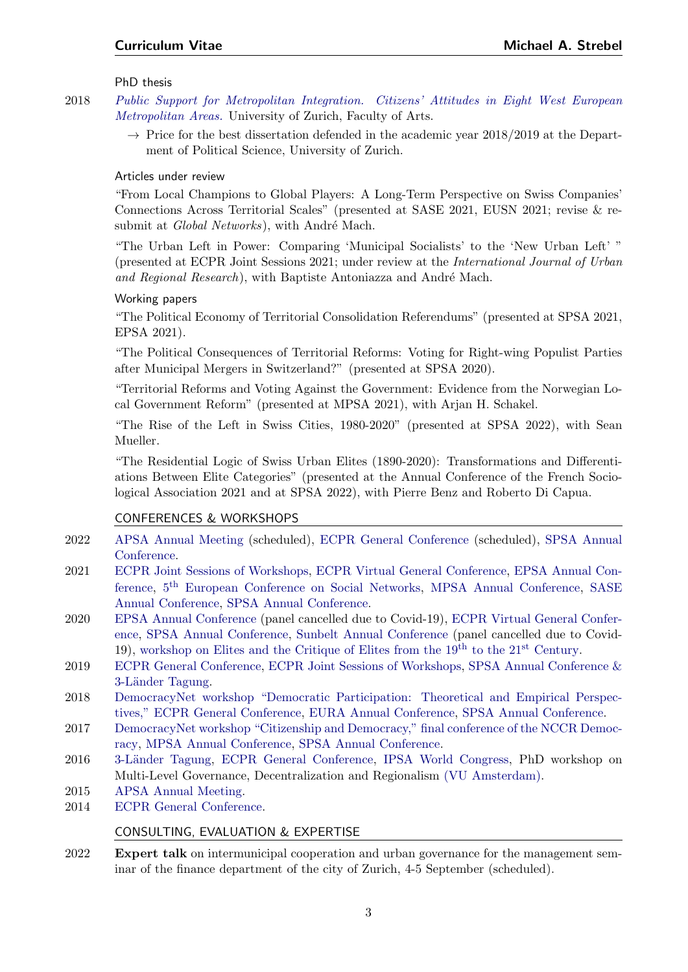# PhD thesis

- 2018 [Public Support for Metropolitan Integration. Citizens' Attitudes in Eight West European](https://www.zora.uzh.ch/id/eprint/174092/) [Metropolitan Areas.](https://www.zora.uzh.ch/id/eprint/174092/) University of Zurich, Faculty of Arts.
	- $\rightarrow$  Price for the best dissertation defended in the academic year 2018/2019 at the Department of Political Science, University of Zurich.

# Articles under review

"From Local Champions to Global Players: A Long-Term Perspective on Swiss Companies' Connections Across Territorial Scales" (presented at SASE 2021, EUSN 2021; revise & resubmit at Global Networks), with André Mach.

"The Urban Left in Power: Comparing 'Municipal Socialists' to the 'New Urban Left' " (presented at ECPR Joint Sessions 2021; under review at the International Journal of Urban and Regional Research), with Baptiste Antoniazza and André Mach.

# Working papers

"The Political Economy of Territorial Consolidation Referendums" (presented at SPSA 2021, EPSA 2021).

"The Political Consequences of Territorial Reforms: Voting for Right-wing Populist Parties after Municipal Mergers in Switzerland?" (presented at SPSA 2020).

"Territorial Reforms and Voting Against the Government: Evidence from the Norwegian Local Government Reform" (presented at MPSA 2021), with Arjan H. Schakel.

"The Rise of the Left in Swiss Cities, 1980-2020" (presented at SPSA 2022), with Sean Mueller.

"The Residential Logic of Swiss Urban Elites (1890-2020): Transformations and Differentiations Between Elite Categories" (presented at the Annual Conference of the French Sociological Association 2021 and at SPSA 2022), with Pierre Benz and Roberto Di Capua.

# CONFERENCES & WORKSHOPS

- 2022 [APSA Annual Meeting](https://connect.apsanet.org/apsa2022/) (scheduled), [ECPR General Conference](https://ecpr.eu/GeneralConference) (scheduled), [SPSA Annual](https://www.svpw-assp.ch/home/) [Conference.](https://www.svpw-assp.ch/home/)
- 2021 [ECPR Joint Sessions of Workshops,](https://ecpr.eu/Events/150) [ECPR Virtual General Conference,](https://ecpr.eu/Events/151) [EPSA Annual Con](https://epsanet.org/conference-2021/)[ference,](https://epsanet.org/conference-2021/) 5<sup>th</sup> [European Conference on Social Networks,](http://www.eusn2021.unina.it/) [MPSA Annual Conference,](https://www.mpsanet.org/events/past-conference-programs/) [SASE](https://sase.org/event/2021-sase-conference/) [Annual Conference,](https://sase.org/event/2021-sase-conference/) [SPSA Annual Conference.](https://www.svpw-assp.ch/home/)
- 2020 [EPSA Annual Conference](https://www.epsanet.org/conference-2020/) (panel cancelled due to Covid-19), [ECPR Virtual General Confer](https://ecpr.eu/Events/156)[ence,](https://ecpr.eu/Events/156) [SPSA Annual Conference,](https://www.svpw-assp.ch/home/) [Sunbelt Annual Conference](https://www.insna.org/sunbelt-archives) (panel cancelled due to Covid-19), [workshop on Elites and the Critique of Elites from the 19](https://web.archive.org/web/20200930082401/https://www.fes.de/afs/cfp)th to the 21st Century.
- 2019 [ECPR General Conference,](https://ecpr.eu/Events/123) [ECPR Joint Sessions of Workshops,](https://ecpr.eu/Events/121) [SPSA Annual Conference &](https://www.svpw-assp.ch/home/) 3-Länder Tagung.
- 2018 [DemocracyNet workshop "Democratic Participation: Theoretical and Empirical Perspec](https://democracynet.eu/ws-demo-part-report/)[tives,"](https://democracynet.eu/ws-demo-part-report/) [ECPR General Conference,](https://ecpr.eu/Events/115) [EURA Annual Conference,](https://eura.org/conferences/previous/eura-2018/) [SPSA Annual Conference.](https://www.svpw-assp.ch/home/)
- 2017 [DemocracyNet workshop "Citizenship and Democracy,"](https://democracynet.eu/workshop-citizenship-and-democracy-report/) [final conference of the NCCR Democ](http://www.snf.ch/en/researchinFocus/nccr/nccr-democracy/Pages/default.aspx)[racy,](http://www.snf.ch/en/researchinFocus/nccr/nccr-democracy/Pages/default.aspx) [MPSA Annual Conference,](https://www.mpsanet.org/events/past-conference-programs/) [SPSA Annual Conference.](https://www.svpw-assp.ch/home/)
- 2016 3-Länder Tagung, [ECPR General Conference,](https://ecpr.eu/Events/95) [IPSA World Congress,](https://www.ipsa.org/events/congress/poznan2016) PhD workshop on Multi-Level Governance, Decentralization and Regionalism [\(VU Amsterdam\).](https://www.fsw.vu.nl/en/departments/political-science-and-public-administration/index.aspx)
- 2015 [APSA Annual Meeting.](https://convention2.allacademic.com/one/apsa/apsa15/index.php?&obf_var=9203201&PHPSESSID=eobmguq4k5kes2366ggdhhrp6o)
- 2014 [ECPR General Conference.](https://ecpr.eu/Events/14)

# CONSULTING, EVALUATION & EXPERTISE

2022 Expert talk on intermunicipal cooperation and urban governance for the management seminar of the finance department of the city of Zurich, 4-5 September (scheduled).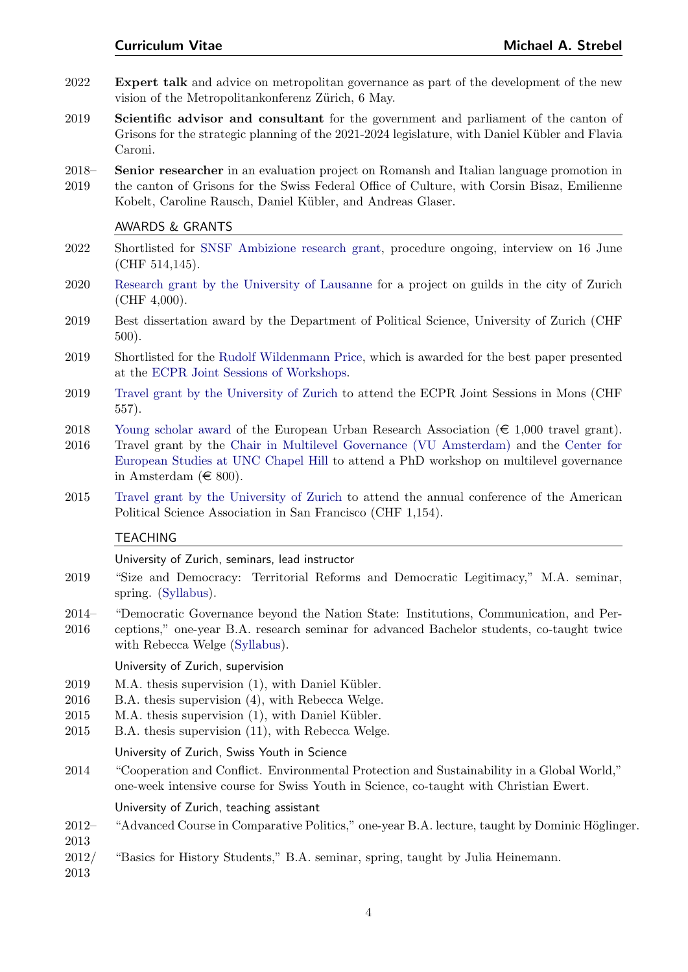- 2022 Expert talk and advice on metropolitan governance as part of the development of the new vision of the Metropolitankonferenz Zürich, 6 May.
- 2019 Scientific advisor and consultant for the government and parliament of the canton of Grisons for the strategic planning of the 2021-2024 legislature, with Daniel Kübler and Flavia Caroni.
- 2018– 2019 Senior researcher in an evaluation project on Romansh and Italian language promotion in the canton of Grisons for the Swiss Federal Office of Culture, with Corsin Bisaz, Emilienne Kobelt, Caroline Rausch, Daniel Kübler, and Andreas Glaser.

#### AWARDS & GRANTS

- 2022 Shortlisted for [SNSF Ambizione research grant,](https://www.snf.ch/en/N18L3oGWomTSSGkF/funding/careers/ambizione) procedure ongoing, interview on 16 June (CHF 514,145).
- 2020 [Research grant by the University of Lausanne](https://www.unil.ch/ssp/fr/home/menuinst/recherche/services-aux-chercheurs/recherche-de-financements.html) for a project on guilds in the city of Zurich (CHF 4,000).
- 2019 Best dissertation award by the Department of Political Science, University of Zurich (CHF 500).
- 2019 Shortlisted for the [Rudolf Wildenmann Price,](https://ecpr.eu/Prizes/PrizeDetails.aspx?PrizeID=7) which is awarded for the best paper presented at the [ECPR Joint Sessions of Workshops.](https://ecpr.eu/Events/EventTypeDetails.aspx?EventTypeID=4)
- 2019 [Travel grant by the University of Zurich](https://www.phil.uzh.ch/de/fakultaet/finanzielleunterstuetzung/kongressreisen.html) to attend the ECPR Joint Sessions in Mons (CHF 557).
- 2018 [Young scholar award](https://web.archive.org/web/20200930082724/http://eura.org/best-paper-of-a-young-scholar-2018-goes-to-michael-a-strebel-from-switzerland/) of the European Urban Research Association ( $\in$  1,000 travel grant).
- 2016 Travel grant by the [Chair in Multilevel Governance \(VU Amsterdam\)](https://fsw.vu.nl/en/departments/political-science-and-public-administration/research/multi-layered-governance/index.aspx) and the [Center for](https://europe.unc.edu/) [European Studies at UNC Chapel Hill](https://europe.unc.edu/) to attend a PhD workshop on multilevel governance in Amsterdam ( $\in$  800).
- 2015 [Travel grant by the University of Zurich](https://www.phil.uzh.ch/de/fakultaet/finanzielleunterstuetzung/kongressreisen.html) to attend the annual conference of the American Political Science Association in San Francisco (CHF 1,154).

### TEACHING

#### University of Zurich, seminars, lead instructor

- 2019 "Size and Democracy: Territorial Reforms and Democratic Legitimacy," M.A. seminar, spring. [\(Syllabus\)](https://michaelstrebel.files.wordpress.com/2019/03/syllabus_grc3b6ssedemokratie.pdf).
- 2014– "Democratic Governance beyond the Nation State: Institutions, Communication, and Per-
- 2016 ceptions," one-year B.A. research seminar for advanced Bachelor students, co-taught twice with Rebecca Welge [\(Syllabus\)](https://michaelstrebel.files.wordpress.com/2016/10/syllabus_hs2015.pdf).

#### University of Zurich, supervision

- $2019$  M.A. thesis supervision  $(1)$ , with Daniel Kübler.
- 2016 B.A. thesis supervision (4), with Rebecca Welge.
- $2015$  M.A. thesis supervision  $(1)$ , with Daniel Kübler.
- 2015 B.A. thesis supervision (11), with Rebecca Welge.

#### University of Zurich, Swiss Youth in Science

2014 "Cooperation and Conflict. Environmental Protection and Sustainability in a Global World," one-week intensive course for Swiss Youth in Science, co-taught with Christian Ewert.

University of Zurich, teaching assistant

- 2012– "Advanced Course in Comparative Politics," one-year B.A. lecture, taught by Dominic Höglinger.
- 2013
- 2012/ "Basics for History Students," B.A. seminar, spring, taught by Julia Heinemann.

2013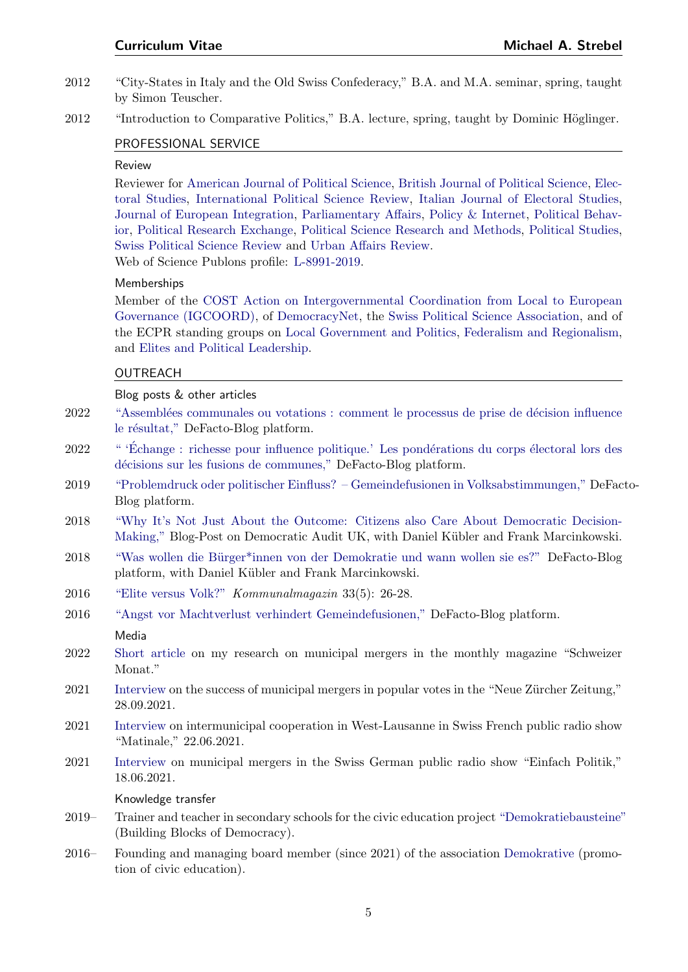- 2012 "City-States in Italy and the Old Swiss Confederacy," B.A. and M.A. seminar, spring, taught by Simon Teuscher.
- 2012 "Introduction to Comparative Politics," B.A. lecture, spring, taught by Dominic Höglinger.

# PROFESSIONAL SERVICE

# Review

Reviewer for [American Journal of Political Science,](https://onlinelibrary.wiley.com/journal/15405907) [British Journal of Political Science,](https://www.cambridge.org/core/journals/british-journal-of-political-science) [Elec](https://www.journals.elsevier.com/electoral-studies)[toral Studies,](https://www.journals.elsevier.com/electoral-studies) [International Political Science Review,](https://journals.sagepub.com/home/ips) [Italian Journal of Electoral Studies,](https://oaj.fupress.net/index.php/qoe/about) [Journal of European Integration,](https://www.tandfonline.com/toc/geui20/current) [Parliamentary Affairs,](https://academic.oup.com/pa) [Policy & Internet,](https://onlinelibrary.wiley.com/journal/19442866) [Political Behav](https://www.springer.com/journal/11109)[ior,](https://www.springer.com/journal/11109) [Political Research Exchange,](https://www.tandfonline.com/action/showAxaArticles?journalCode=prxx20) [Political Science Research and Methods,](https://www.cambridge.org/core/journals/political-science-research-and-methods) [Political Studies,](https://journals.sagepub.com/home/psx) [Swiss Political Science Review](https://onlinelibrary.wiley.com/journal/16626370) and [Urban Affairs Review.](http://journals.sagepub.com/home/uar) Web of Science Publons profile: [L-8991-2019.](https://publons.com/researcher/1722230/michael-strebel/)

#### Memberships

Member of the [COST Action on Intergovernmental Coordination from Local to European](https://www.cost.eu/actions/CA20123/#tabs+Name:Description) [Governance \(IGCOORD\),](https://www.cost.eu/actions/CA20123/#tabs+Name:Description) of [DemocracyNet,](http://www.democracynet.eu) the [Swiss Political Science Association,](https://www.svpw-assp.ch/home/) and of the ECPR standing groups on [Local Government and Politics,](https://ecpr.eu/StandingGroups/StandingGroupHome.aspx?ID=19) [Federalism and Regionalism,](https://ecpr.eu/StandingGroups/StandingGroupHome.aspx?ID=7) and [Elites and Political Leadership.](https://ecpr.eu/StandingGroups/StandingGroupHome.aspx?ID=54)

#### OUTREACH

#### Blog posts & other articles

- 2022 "Assemblées communales ou votations : comment le processus de prise de décision influence le résultat," DeFacto-Blog platform.
- 2022 " "Échange : richesse pour influence politique.' Les pondérations du corps électoral lors des décisions sur les fusions de communes," DeFacto-Blog platform.
- 2019 ["Problemdruck oder politischer Einfluss? Gemeindefusionen in Volksabstimmungen,"](https://www.defacto.expert/2019/05/13/problemdruck-oder-politischer-einfluss-gemeindefusionen-in-volksabstimmungen/) DeFacto-Blog platform.
- 2018 ["Why It's Not Just About the Outcome: Citizens also Care About Democratic Decision-](http://www.democraticaudit.com/2018/07/04/why-its-not-just-about-the-outcome-citizens-also-care-about-democratic-decision-making/)[Making,"](http://www.democraticaudit.com/2018/07/04/why-its-not-just-about-the-outcome-citizens-also-care-about-democratic-decision-making/) Blog-Post on Democratic Audit UK, with Daniel Kübler and Frank Marcinkowski.
- 2018 "Was wollen die Bürger\*innen von der Demokratie und wann wollen sie es?" DeFacto-Blog platform, with Daniel Kübler and Frank Marcinkowski.
- 2016 ["Elite versus Volk?"](https://michaelstrebel.files.wordpress.com/2016/10/strebel_kommunalmagazin_2016.pdf) Kommunalmagazin 33(5): 26-28.
- 2016 ["Angst vor Machtverlust verhindert Gemeindefusionen,"](http://www.defacto.expert/2016/08/18/gemeindefusionen/) DeFacto-Blog platform. Media
- 2022 [Short article](https://schweizermonat.ch/wenn-gemeinden-verschwinden/) on my research on municipal mergers in the monthly magazine "Schweizer Monat."
- 2021 [Interview](https://www.nzz.ch/schweiz/grossfreiburg-es-kommt-bei-fusionen-nur-selten-zu-einsparungen-ld.1647531) on the success of municipal mergers in popular votes in the "Neue Zürcher Zeitung," 28.09.2021.
- 2021 [Interview](https://www.rts.ch/play/radio/la-matinale/video/louest-lausannois-adopte-un-plan-directeur-intercommunal-pour-se-developper-comme-une-grande-ville-video?id=12295347) on intermunicipal cooperation in West-Lausanne in Swiss French public radio show "Matinale," 22.06.2021.
- 2021 [Interview](https://www.srf.ch/audio/einfach-politik/gemeindefusionen-effizient-oder-unsinnig?id=12005096) on municipal mergers in the Swiss German public radio show "Einfach Politik," 18.06.2021.

#### Knowledge transfer

- 2019– Trainer and teacher in secondary schools for the civic education project ["Demokratiebausteine"](https://demokrative.ch/index.php/en/activities/building-blocks-of-democracy) (Building Blocks of Democracy).
- 2016– Founding and managing board member (since 2021) of the association [Demokrative](https://demokrative.ch/index.php/en/home-en/members-of-demokrative) (promotion of civic education).